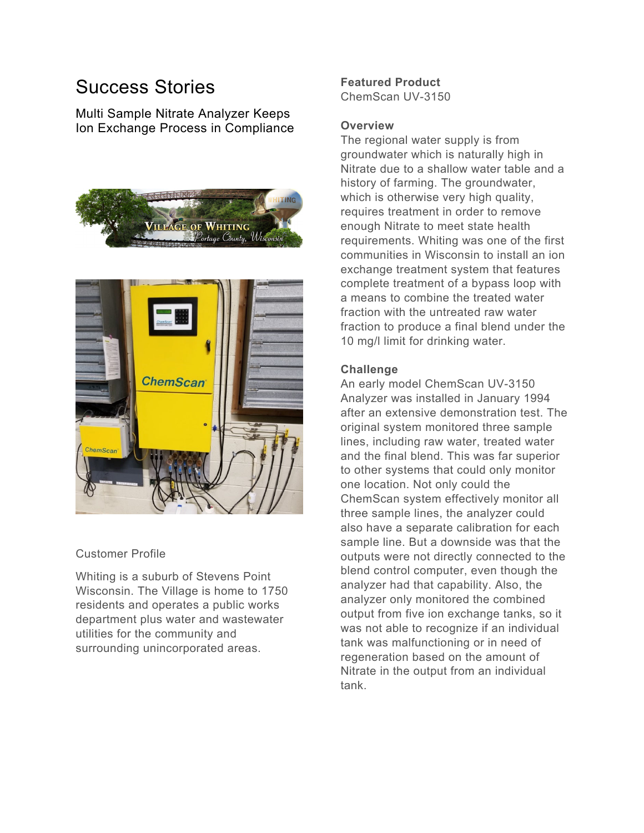# Success Stories

Multi Sample Nitrate Analyzer Keeps Ion Exchange Process in Compliance





#### Customer Profile

Whiting is a suburb of Stevens Point Wisconsin. The Village is home to 1750 residents and operates a public works department plus water and wastewater utilities for the community and surrounding unincorporated areas.

## **Featured Product**

ChemScan UV-3150

#### **Overview**

The regional water supply is from groundwater which is naturally high in Nitrate due to a shallow water table and a history of farming. The groundwater, which is otherwise very high quality, requires treatment in order to remove enough Nitrate to meet state health requirements. Whiting was one of the first communities in Wisconsin to install an ion exchange treatment system that features complete treatment of a bypass loop with a means to combine the treated water fraction with the untreated raw water fraction to produce a final blend under the 10 mg/l limit for drinking water.

### **Challenge**

An early model ChemScan UV-3150 Analyzer was installed in January 1994 after an extensive demonstration test. The original system monitored three sample lines, including raw water, treated water and the final blend. This was far superior to other systems that could only monitor one location. Not only could the ChemScan system effectively monitor all three sample lines, the analyzer could also have a separate calibration for each sample line. But a downside was that the outputs were not directly connected to the blend control computer, even though the analyzer had that capability. Also, the analyzer only monitored the combined output from five ion exchange tanks, so it was not able to recognize if an individual tank was malfunctioning or in need of regeneration based on the amount of Nitrate in the output from an individual tank.